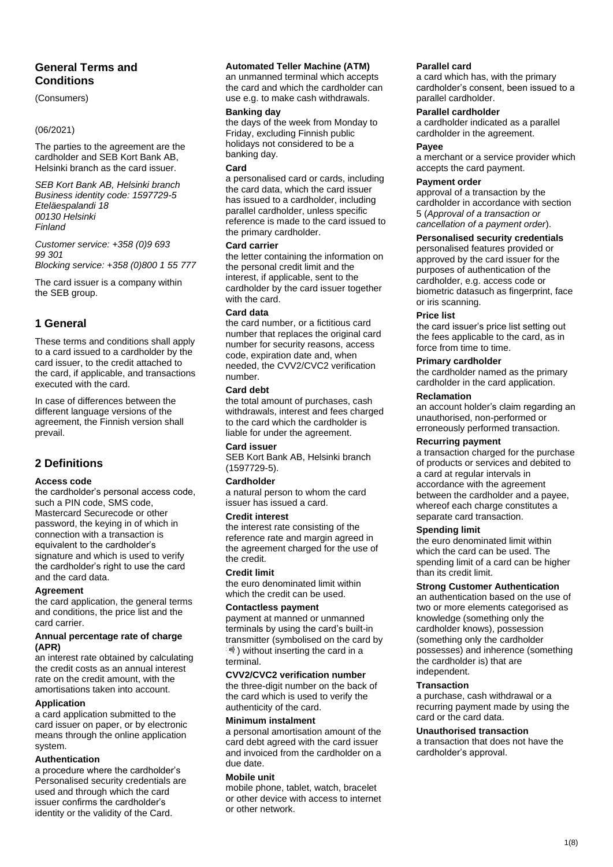# **General Terms and Conditions**

### (Consumers)

### (06/2021)

The parties to the agreement are the cardholder and SEB Kort Bank AB, Helsinki branch as the card issuer.

*SEB Kort Bank AB, Helsinki branch Business identity code: 1597729-5 Eteläespalandi 18 00130 Helsinki Finland*

*Customer service: +358 (0)9 693 99 301 Blocking service: +358 (0)800 1 55 777*

The card issuer is a company within the SEB group.

# **1 General**

These terms and conditions shall apply to a card issued to a cardholder by the card issuer, to the credit attached to the card, if applicable, and transactions executed with the card.

In case of differences between the different language versions of the agreement, the Finnish version shall prevail.

# **2 Definitions**

### **Access code**

the cardholder's personal access code, such a PIN code, SMS code, Mastercard Securecode or other password, the keying in of which in connection with a transaction is equivalent to the cardholder's signature and which is used to verify the cardholder's right to use the card and the card data.

## **Agreement**

the card application, the general terms and conditions, the price list and the card carrier.

### **Annual percentage rate of charge (APR)**

an interest rate obtained by calculating the credit costs as an annual interest rate on the credit amount, with the amortisations taken into account.

## **Application**

a card application submitted to the card issuer on paper, or by electronic means through the online application system.

## **Authentication**

a procedure where the cardholder's Personalised security credentials are used and through which the card issuer confirms the cardholder's identity or the validity of the Card.

### **Automated Teller Machine (ATM)**

an unmanned terminal which accepts the card and which the cardholder can use e.g. to make cash withdrawals.

### **Banking day**

the days of the week from Monday to Friday, excluding Finnish public holidays not considered to be a banking day.

#### **Card**

a personalised card or cards, including the card data, which the card issuer has issued to a cardholder, including parallel cardholder, unless specific reference is made to the card issued to the primary cardholder.

#### **Card carrier**

the letter containing the information on the personal credit limit and the interest, if applicable, sent to the cardholder by the card issuer together with the card.

### **Card data**

the card number, or a fictitious card number that replaces the original card number for security reasons, access code, expiration date and, when needed, the CVV2/CVC2 verification number.

### **Card debt**

the total amount of purchases, cash withdrawals, interest and fees charged to the card which the cardholder is liable for under the agreement.

### **Card issuer**

SEB Kort Bank AB, Helsinki branch (1597729-5).

### **Cardholder**

a natural person to whom the card issuer has issued a card.

### **Credit interest**

the interest rate consisting of the reference rate and margin agreed in the agreement charged for the use of the credit.

### **Credit limit**

the euro denominated limit within which the credit can be used.

## **Contactless payment**

payment at manned or unmanned terminals by using the card's built-in transmitter (symbolised on the card by  $\mathcal{W}$ ) without inserting the card in a terminal.

### **CVV2/CVC2 verification number**

the three-digit number on the back of the card which is used to verify the authenticity of the card.

### **Minimum instalment**

a personal amortisation amount of the card debt agreed with the card issuer and invoiced from the cardholder on a due date.

### **Mobile unit**

mobile phone, tablet, watch, bracelet or other device with access to internet or other network.

### **Parallel card**

a card which has, with the primary cardholder's consent, been issued to a parallel cardholder.

### **Parallel cardholder**

a cardholder indicated as a parallel cardholder in the agreement.

### **Payee**

a merchant or a service provider which accepts the card payment.

### **Payment order**

approval of a transaction by the cardholder in accordance with section 5 (*Approval of a transaction or cancellation of a payment order*).

### **Personalised security credentials**

personalised features provided or approved by the card issuer for the purposes of authentication of the cardholder, e.g. access code or biometric datasuch as fingerprint, face or iris scanning.

### **Price list**

the card issuer's price list setting out the fees applicable to the card, as in force from time to time.

### **Primary cardholder**

the cardholder named as the primary cardholder in the card application.

### **Reclamation**

an account holder's claim regarding an unauthorised, non-performed or erroneously performed transaction.

## **Recurring payment**

a transaction charged for the purchase of products or services and debited to a card at regular intervals in accordance with the agreement between the cardholder and a payee, whereof each charge constitutes a separate card transaction.

### **Spending limit**

the euro denominated limit within which the card can be used. The spending limit of a card can be higher than its credit limit.

### **Strong Customer Authentication**

an authentication based on the use of two or more elements categorised as knowledge (something only the cardholder knows), possession (something only the cardholder possesses) and inherence (something the cardholder is) that are independent.

### **Transaction**

a purchase, cash withdrawal or a recurring payment made by using the card or the card data.

### **Unauthorised transaction**

a transaction that does not have the cardholder's approval.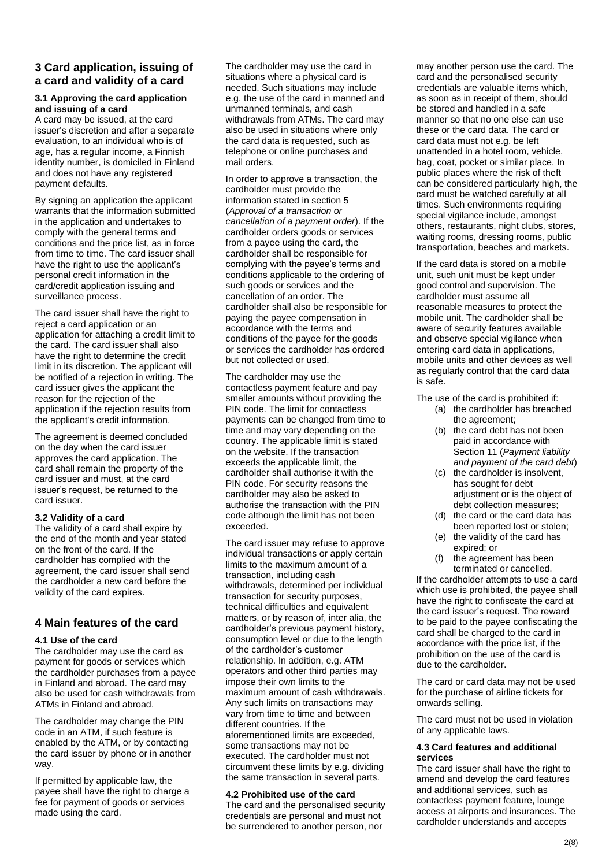## **3 Card application, issuing of a card and validity of a card**

### **3.1 Approving the card application and issuing of a card**

A card may be issued, at the card issuer's discretion and after a separate evaluation, to an individual who is of age, has a regular income, a Finnish identity number, is domiciled in Finland and does not have any registered payment defaults.

By signing an application the applicant warrants that the information submitted in the application and undertakes to comply with the general terms and conditions and the price list, as in force from time to time. The card issuer shall have the right to use the applicant's personal credit information in the card/credit application issuing and surveillance process.

The card issuer shall have the right to reject a card application or an application for attaching a credit limit to the card. The card issuer shall also have the right to determine the credit limit in its discretion. The applicant will be notified of a rejection in writing. The card issuer gives the applicant the reason for the rejection of the application if the rejection results from the applicant's credit information.

The agreement is deemed concluded on the day when the card issuer approves the card application. The card shall remain the property of the card issuer and must, at the card issuer's request, be returned to the card issuer.

## **3.2 Validity of a card**

The validity of a card shall expire by the end of the month and year stated on the front of the card. If the cardholder has complied with the agreement, the card issuer shall send the cardholder a new card before the validity of the card expires.

## **4 Main features of the card**

### **4.1 Use of the card**

The cardholder may use the card as payment for goods or services which the cardholder purchases from a payee in Finland and abroad. The card may also be used for cash withdrawals from ATMs in Finland and abroad.

The cardholder may change the PIN code in an ATM, if such feature is enabled by the ATM, or by contacting the card issuer by phone or in another way.

If permitted by applicable law, the payee shall have the right to charge a fee for payment of goods or services made using the card.

The cardholder may use the card in situations where a physical card is needed. Such situations may include e.g. the use of the card in manned and unmanned terminals, and cash withdrawals from ATMs. The card may also be used in situations where only the card data is requested, such as telephone or online purchases and mail orders.

In order to approve a transaction, the cardholder must provide the information stated in section 5 (*Approval of a transaction or cancellation of a payment order*). If the cardholder orders goods or services from a payee using the card, the cardholder shall be responsible for complying with the payee's terms and conditions applicable to the ordering of such goods or services and the cancellation of an order. The cardholder shall also be responsible for paying the payee compensation in accordance with the terms and conditions of the payee for the goods or services the cardholder has ordered but not collected or used.

The cardholder may use the contactless payment feature and pay smaller amounts without providing the PIN code. The limit for contactless payments can be changed from time to time and may vary depending on the country. The applicable limit is stated on the website. If the transaction exceeds the applicable limit, the cardholder shall authorise it with the PIN code. For security reasons the cardholder may also be asked to authorise the transaction with the PIN code although the limit has not been exceeded.

The card issuer may refuse to approve individual transactions or apply certain limits to the maximum amount of a transaction, including cash withdrawals, determined per individual transaction for security purposes, technical difficulties and equivalent matters, or by reason of, inter alia, the cardholder's previous payment history, consumption level or due to the length of the cardholder's customer relationship. In addition, e.g. ATM operators and other third parties may impose their own limits to the maximum amount of cash withdrawals. Any such limits on transactions may vary from time to time and between different countries. If the aforementioned limits are exceeded, some transactions may not be executed. The cardholder must not circumvent these limits by e.g. dividing the same transaction in several parts.

## **4.2 Prohibited use of the card**

The card and the personalised security credentials are personal and must not be surrendered to another person, nor

may another person use the card. The card and the personalised security credentials are valuable items which, as soon as in receipt of them, should be stored and handled in a safe manner so that no one else can use these or the card data. The card or card data must not e.g. be left unattended in a hotel room, vehicle, bag, coat, pocket or similar place. In public places where the risk of theft can be considered particularly high, the card must be watched carefully at all times. Such environments requiring special vigilance include, amongst others, restaurants, night clubs, stores, waiting rooms, dressing rooms, public transportation, beaches and markets.

If the card data is stored on a mobile unit, such unit must be kept under good control and supervision. The cardholder must assume all reasonable measures to protect the mobile unit. The cardholder shall be aware of security features available and observe special vigilance when entering card data in applications, mobile units and other devices as well as regularly control that the card data is safe.

The use of the card is prohibited if:

- (a) the cardholder has breached the agreement;
- (b) the card debt has not been paid in accordance with Section 11 (*Payment liability and payment of the card debt*)
- (c) the cardholder is insolvent, has sought for debt adjustment or is the object of debt collection measures;
- (d) the card or the card data has been reported lost or stolen;
- (e) the validity of the card has expired; or
- (f) the agreement has been terminated or cancelled.

If the cardholder attempts to use a card which use is prohibited, the payee shall have the right to confiscate the card at the card issuer's request. The reward to be paid to the payee confiscating the card shall be charged to the card in accordance with the price list, if the prohibition on the use of the card is due to the cardholder.

The card or card data may not be used for the purchase of airline tickets for onwards selling.

The card must not be used in violation of any applicable laws.

### **4.3 Card features and additional services**

The card issuer shall have the right to amend and develop the card features and additional services, such as contactless payment feature, lounge access at airports and insurances. The cardholder understands and accepts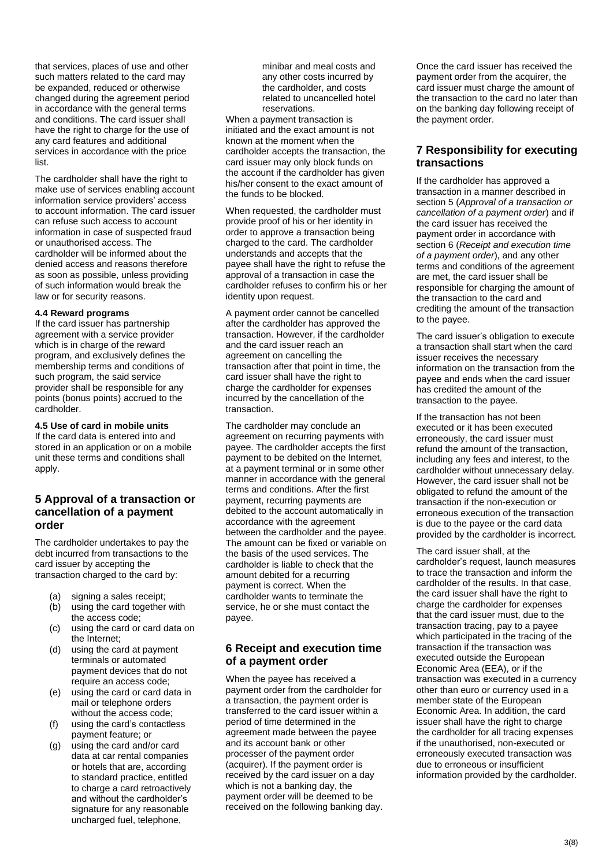that services, places of use and other such matters related to the card may be expanded, reduced or otherwise changed during the agreement period in accordance with the general terms and conditions. The card issuer shall have the right to charge for the use of any card features and additional services in accordance with the price list.

The cardholder shall have the right to make use of services enabling account information service providers' access to account information. The card issuer can refuse such access to account information in case of suspected fraud or unauthorised access. The cardholder will be informed about the denied access and reasons therefore as soon as possible, unless providing of such information would break the law or for security reasons.

### **4.4 Reward programs**

If the card issuer has partnership agreement with a service provider which is in charge of the reward program, and exclusively defines the membership terms and conditions of such program, the said service provider shall be responsible for any points (bonus points) accrued to the cardholder.

### **4.5 Use of card in mobile units**

If the card data is entered into and stored in an application or on a mobile unit these terms and conditions shall apply.

## **5 Approval of a transaction or cancellation of a payment order**

The cardholder undertakes to pay the debt incurred from transactions to the card issuer by accepting the transaction charged to the card by:

- (a) signing a sales receipt;
- (b) using the card together with the access code;
- (c) using the card or card data on the Internet;
- (d) using the card at payment terminals or automated payment devices that do not require an access code;
- (e) using the card or card data in mail or telephone orders without the access code;
- (f) using the card's contactless payment feature; or
- (g) using the card and/or card data at car rental companies or hotels that are, according to standard practice, entitled to charge a card retroactively and without the cardholder's signature for any reasonable uncharged fuel, telephone,

minibar and meal costs and any other costs incurred by the cardholder, and costs related to uncancelled hotel reservations.

When a payment transaction is initiated and the exact amount is not known at the moment when the cardholder accepts the transaction, the card issuer may only block funds on the account if the cardholder has given his/her consent to the exact amount of the funds to be blocked.

When requested, the cardholder must provide proof of his or her identity in order to approve a transaction being charged to the card. The cardholder understands and accepts that the payee shall have the right to refuse the approval of a transaction in case the cardholder refuses to confirm his or her identity upon request.

A payment order cannot be cancelled after the cardholder has approved the transaction. However, if the cardholder and the card issuer reach an agreement on cancelling the transaction after that point in time, the card issuer shall have the right to charge the cardholder for expenses incurred by the cancellation of the transaction.

The cardholder may conclude an agreement on recurring payments with payee. The cardholder accepts the first payment to be debited on the Internet, at a payment terminal or in some other manner in accordance with the general terms and conditions. After the first payment, recurring payments are debited to the account automatically in accordance with the agreement between the cardholder and the payee. The amount can be fixed or variable on the basis of the used services. The cardholder is liable to check that the amount debited for a recurring payment is correct. When the cardholder wants to terminate the service, he or she must contact the payee.

# **6 Receipt and execution time of a payment order**

When the payee has received a payment order from the cardholder for a transaction, the payment order is transferred to the card issuer within a period of time determined in the agreement made between the payee and its account bank or other processer of the payment order (acquirer). If the payment order is received by the card issuer on a day which is not a banking day, the payment order will be deemed to be received on the following banking day.

Once the card issuer has received the payment order from the acquirer, the card issuer must charge the amount of the transaction to the card no later than on the banking day following receipt of the payment order.

# **7 Responsibility for executing transactions**

If the cardholder has approved a transaction in a manner described in section 5 (*Approval of a transaction or cancellation of a payment order*) and if the card issuer has received the payment order in accordance with section 6 (*Receipt and execution time of a payment order*), and any other terms and conditions of the agreement are met, the card issuer shall be responsible for charging the amount of the transaction to the card and crediting the amount of the transaction to the payee.

The card issuer's obligation to execute a transaction shall start when the card issuer receives the necessary information on the transaction from the payee and ends when the card issuer has credited the amount of the transaction to the payee.

If the transaction has not been executed or it has been executed erroneously, the card issuer must refund the amount of the transaction, including any fees and interest, to the cardholder without unnecessary delay. However, the card issuer shall not be obligated to refund the amount of the transaction if the non-execution or erroneous execution of the transaction is due to the payee or the card data provided by the cardholder is incorrect.

The card issuer shall, at the cardholder's request, launch measures to trace the transaction and inform the cardholder of the results. In that case, the card issuer shall have the right to charge the cardholder for expenses that the card issuer must, due to the transaction tracing, pay to a payee which participated in the tracing of the transaction if the transaction was executed outside the European Economic Area (EEA), or if the transaction was executed in a currency other than euro or currency used in a member state of the European Economic Area. In addition, the card issuer shall have the right to charge the cardholder for all tracing expenses if the unauthorised, non-executed or erroneously executed transaction was due to erroneous or insufficient information provided by the cardholder.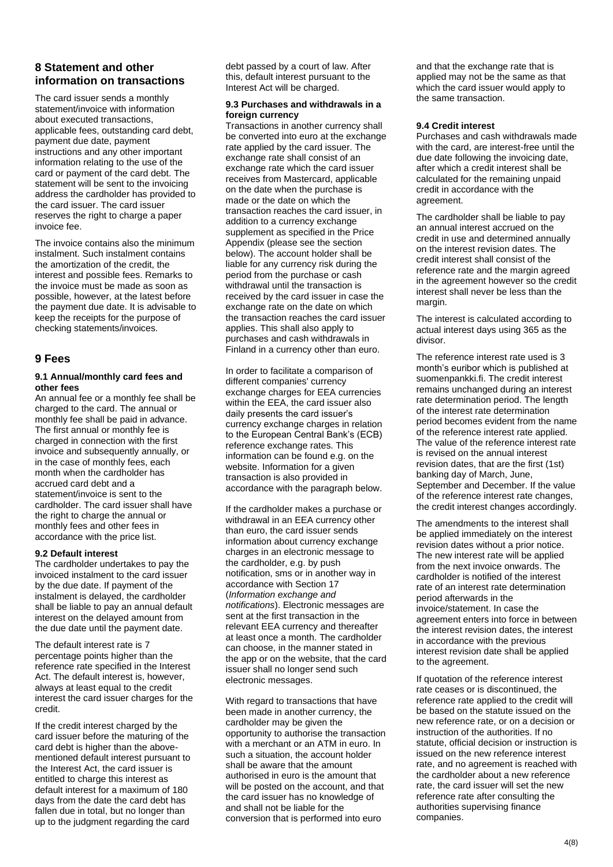# **8 Statement and other information on transactions**

The card issuer sends a monthly statement/invoice with information about executed transactions, applicable fees, outstanding card debt, payment due date, payment instructions and any other important information relating to the use of the card or payment of the card debt. The statement will be sent to the invoicing address the cardholder has provided to the card issuer. The card issuer reserves the right to charge a paper invoice fee.

The invoice contains also the minimum instalment. Such instalment contains the amortization of the credit, the interest and possible fees. Remarks to the invoice must be made as soon as possible, however, at the latest before the payment due date. It is advisable to keep the receipts for the purpose of checking statements/invoices.

## **9 Fees**

### **9.1 Annual/monthly card fees and other fees**

An annual fee or a monthly fee shall be charged to the card. The annual or monthly fee shall be paid in advance. The first annual or monthly fee is charged in connection with the first invoice and subsequently annually, or in the case of monthly fees, each month when the cardholder has accrued card debt and a statement/invoice is sent to the cardholder. The card issuer shall have the right to charge the annual or monthly fees and other fees in accordance with the price list.

### **9.2 Default interest**

The cardholder undertakes to pay the invoiced instalment to the card issuer by the due date. If payment of the instalment is delayed, the cardholder shall be liable to pay an annual default interest on the delayed amount from the due date until the payment date.

The default interest rate is 7 percentage points higher than the reference rate specified in the Interest Act. The default interest is, however, always at least equal to the credit interest the card issuer charges for the credit.

If the credit interest charged by the card issuer before the maturing of the card debt is higher than the abovementioned default interest pursuant to the Interest Act, the card issuer is entitled to charge this interest as default interest for a maximum of 180 days from the date the card debt has fallen due in total, but no longer than up to the judgment regarding the card

debt passed by a court of law. After this, default interest pursuant to the Interest Act will be charged.

#### **9.3 Purchases and withdrawals in a foreign currency**

Transactions in another currency shall be converted into euro at the exchange rate applied by the card issuer. The exchange rate shall consist of an exchange rate which the card issuer receives from Mastercard, applicable on the date when the purchase is made or the date on which the transaction reaches the card issuer, in addition to a currency exchange supplement as specified in the Price Appendix (please see the section below). The account holder shall be liable for any currency risk during the period from the purchase or cash withdrawal until the transaction is received by the card issuer in case the exchange rate on the date on which the transaction reaches the card issuer applies. This shall also apply to purchases and cash withdrawals in Finland in a currency other than euro.

In order to facilitate a comparison of different companies' currency exchange charges for EEA currencies within the EEA, the card issuer also daily presents the card issuer's currency exchange charges in relation to the European Central Bank's (ECB) reference exchange rates. This information can be found e.g. on the website. Information for a given transaction is also provided in accordance with the paragraph below.

If the cardholder makes a purchase or withdrawal in an EEA currency other than euro, the card issuer sends information about currency exchange charges in an electronic message to the cardholder, e.g. by push notification, sms or in another way in accordance with Section 17 (*Information exchange and notifications*). Electronic messages are sent at the first transaction in the relevant EEA currency and thereafter at least once a month. The cardholder can choose, in the manner stated in the app or on the website, that the card issuer shall no longer send such electronic messages.

With regard to transactions that have been made in another currency, the cardholder may be given the opportunity to authorise the transaction with a merchant or an ATM in euro. In such a situation, the account holder shall be aware that the amount authorised in euro is the amount that will be posted on the account, and that the card issuer has no knowledge of and shall not be liable for the conversion that is performed into euro

and that the exchange rate that is applied may not be the same as that which the card issuer would apply to the same transaction.

### **9.4 Credit interest**

Purchases and cash withdrawals made with the card, are interest-free until the due date following the invoicing date, after which a credit interest shall be calculated for the remaining unpaid credit in accordance with the agreement.

The cardholder shall be liable to pay an annual interest accrued on the credit in use and determined annually on the interest revision dates. The credit interest shall consist of the reference rate and the margin agreed in the agreement however so the credit interest shall never be less than the margin.

The interest is calculated according to actual interest days using 365 as the divisor.

The reference interest rate used is 3 month's euribor which is published at suomenpankki.fi. The credit interest remains unchanged during an interest rate determination period. The length of the interest rate determination period becomes evident from the name of the reference interest rate applied. The value of the reference interest rate is revised on the annual interest revision dates, that are the first (1st) banking day of March, June, September and December. If the value of the reference interest rate changes, the credit interest changes accordingly.

The amendments to the interest shall be applied immediately on the interest revision dates without a prior notice. The new interest rate will be applied from the next invoice onwards. The cardholder is notified of the interest rate of an interest rate determination period afterwards in the invoice/statement. In case the agreement enters into force in between the interest revision dates, the interest in accordance with the previous interest revision date shall be applied to the agreement.

If quotation of the reference interest rate ceases or is discontinued, the reference rate applied to the credit will be based on the statute issued on the new reference rate, or on a decision or instruction of the authorities. If no statute, official decision or instruction is issued on the new reference interest rate, and no agreement is reached with the cardholder about a new reference rate, the card issuer will set the new reference rate after consulting the authorities supervising finance companies.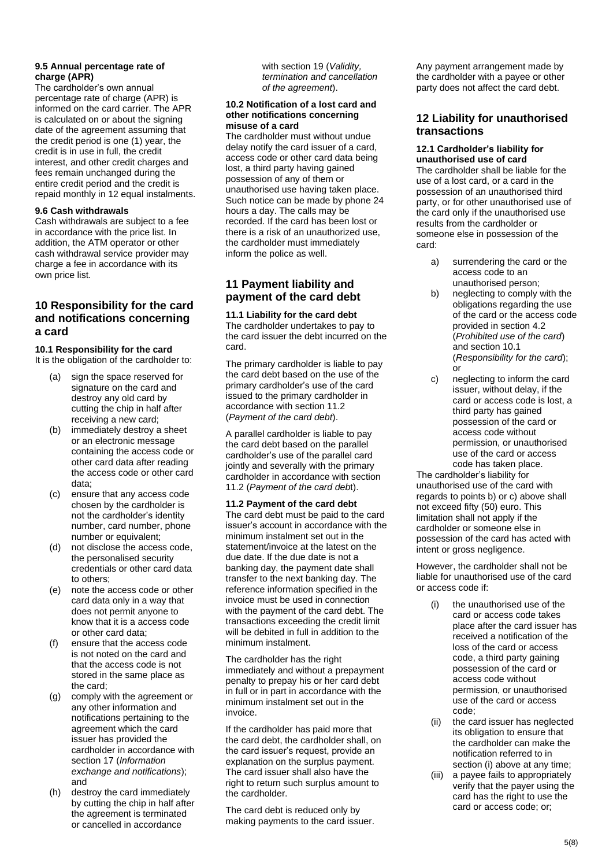## **9.5 Annual percentage rate of charge (APR)**

The cardholder's own annual percentage rate of charge (APR) is informed on the card carrier. The APR is calculated on or about the signing date of the agreement assuming that the credit period is one (1) year, the credit is in use in full, the credit interest, and other credit charges and fees remain unchanged during the entire credit period and the credit is repaid monthly in 12 equal instalments.

## **9.6 Cash withdrawals**

Cash withdrawals are subject to a fee in accordance with the price list. In addition, the ATM operator or other cash withdrawal service provider may charge a fee in accordance with its own price list.

# **10 Responsibility for the card and notifications concerning a card**

**10.1 Responsibility for the card** It is the obligation of the cardholder to:

- (a) sign the space reserved for signature on the card and destroy any old card by cutting the chip in half after receiving a new card;
- (b) immediately destroy a sheet or an electronic message containing the access code or other card data after reading the access code or other card data;
- (c) ensure that any access code chosen by the cardholder is not the cardholder's identity number, card number, phone number or equivalent;
- (d) not disclose the access code, the personalised security credentials or other card data to others;
- (e) note the access code or other card data only in a way that does not permit anyone to know that it is a access code or other card data;
- (f) ensure that the access code is not noted on the card and that the access code is not stored in the same place as the card;
- (g) comply with the agreement or any other information and notifications pertaining to the agreement which the card issuer has provided the cardholder in accordance with section 17 (*Information exchange and notifications*); and
- (h) destroy the card immediately by cutting the chip in half after the agreement is terminated or cancelled in accordance

with section 19 (*Validity, termination and cancellation of the agreement*).

### **10.2 Notification of a lost card and other notifications concerning misuse of a card**

The cardholder must without undue delay notify the card issuer of a card, access code or other card data being lost, a third party having gained possession of any of them or unauthorised use having taken place. Such notice can be made by phone 24 hours a day. The calls may be recorded. If the card has been lost or there is a risk of an unauthorized use, the cardholder must immediately inform the police as well.

# **11 Payment liability and payment of the card debt**

**11.1 Liability for the card debt** The cardholder undertakes to pay to the card issuer the debt incurred on the card.

The primary cardholder is liable to pay the card debt based on the use of the primary cardholder's use of the card issued to the primary cardholder in accordance with section 11.2 (*Payment of the card debt*).

A parallel cardholder is liable to pay the card debt based on the parallel cardholder's use of the parallel card jointly and severally with the primary cardholder in accordance with section 11.2 (*Payment of the card deb*t).

## **11.2 Payment of the card debt**

The card debt must be paid to the card issuer's account in accordance with the minimum instalment set out in the statement/invoice at the latest on the due date. If the due date is not a banking day, the payment date shall transfer to the next banking day. The reference information specified in the invoice must be used in connection with the payment of the card debt. The transactions exceeding the credit limit will be debited in full in addition to the minimum instalment.

The cardholder has the right immediately and without a prepayment penalty to prepay his or her card debt in full or in part in accordance with the minimum instalment set out in the invoice.

If the cardholder has paid more that the card debt, the cardholder shall, on the card issuer's request, provide an explanation on the surplus payment. The card issuer shall also have the right to return such surplus amount to the cardholder.

The card debt is reduced only by making payments to the card issuer.

Any payment arrangement made by the cardholder with a payee or other party does not affect the card debt.

## **12 Liability for unauthorised transactions**

### **12.1 Cardholder's liability for unauthorised use of card**

The cardholder shall be liable for the use of a lost card, or a card in the possession of an unauthorised third party, or for other unauthorised use of the card only if the unauthorised use results from the cardholder or someone else in possession of the card:

- a) surrendering the card or the access code to an unauthorised person;
- b) neglecting to comply with the obligations regarding the use of the card or the access code provided in section 4.2 (*Prohibited use of the card*) and section 10.1 (*Responsibility for the card*); or
- c) neglecting to inform the card issuer, without delay, if the card or access code is lost, a third party has gained possession of the card or access code without permission, or unauthorised use of the card or access code has taken place.

The cardholder's liability for unauthorised use of the card with regards to points b) or c) above shall not exceed fifty (50) euro. This limitation shall not apply if the cardholder or someone else in possession of the card has acted with intent or gross negligence.

However, the cardholder shall not be liable for unauthorised use of the card or access code if:

- (i) the unauthorised use of the card or access code takes place after the card issuer has received a notification of the loss of the card or access code, a third party gaining possession of the card or access code without permission, or unauthorised use of the card or access code;
- (ii) the card issuer has neglected its obligation to ensure that the cardholder can make the notification referred to in section (i) above at any time;
- (iii) a payee fails to appropriately verify that the payer using the card has the right to use the card or access code; or;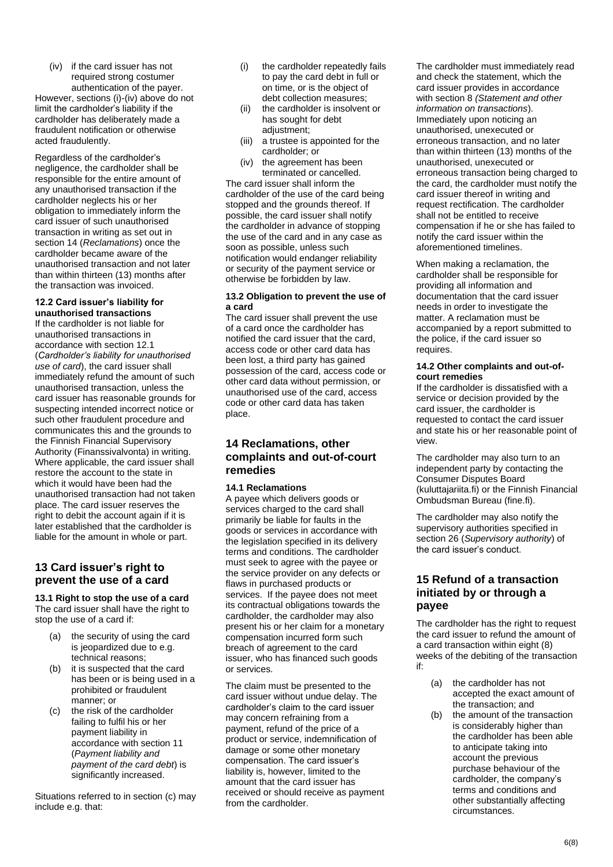(iv) if the card issuer has not required strong costumer authentication of the payer.

However, sections (i)-(iv) above do not limit the cardholder's liability if the cardholder has deliberately made a fraudulent notification or otherwise acted fraudulently.

Regardless of the cardholder's negligence, the cardholder shall be responsible for the entire amount of any unauthorised transaction if the cardholder neglects his or her obligation to immediately inform the card issuer of such unauthorised transaction in writing as set out in section 14 (*Reclamations*) once the cardholder became aware of the unauthorised transaction and not later than within thirteen (13) months after the transaction was invoiced.

#### **12.2 Card issuer's liability for unauthorised transactions**

If the cardholder is not liable for unauthorised transactions in accordance with section 12.1 (*Cardholder's liability for unauthorised use of card*), the card issuer shall immediately refund the amount of such unauthorised transaction, unless the card issuer has reasonable grounds for suspecting intended incorrect notice or such other fraudulent procedure and communicates this and the grounds to the Finnish Financial Supervisory Authority (Finanssivalvonta) in writing. Where applicable, the card issuer shall restore the account to the state in which it would have heen had the unauthorised transaction had not taken place. The card issuer reserves the right to debit the account again if it is later established that the cardholder is liable for the amount in whole or part.

# **13 Card issuer's right to prevent the use of a card**

**13.1 Right to stop the use of a card** The card issuer shall have the right to stop the use of a card if:

- (a) the security of using the card is jeopardized due to e.g. technical reasons;
- (b) it is suspected that the card has been or is being used in a prohibited or fraudulent manner; or
- (c) the risk of the cardholder failing to fulfil his or her payment liability in accordance with section 11 (*Payment liability and payment of the card debt*) is significantly increased.

Situations referred to in section (c) may include e.g. that:

- (i) the cardholder repeatedly fails to pay the card debt in full or on time, or is the object of debt collection measures;
- (ii) the cardholder is insolvent or has sought for debt adjustment;
- (iii) a trustee is appointed for the cardholder; or
- (iv) the agreement has been terminated or cancelled.

The card issuer shall inform the cardholder of the use of the card being stopped and the grounds thereof. If possible, the card issuer shall notify the cardholder in advance of stopping the use of the card and in any case as soon as possible, unless such notification would endanger reliability or security of the payment service or otherwise be forbidden by law.

### **13.2 Obligation to prevent the use of a card**

The card issuer shall prevent the use of a card once the cardholder has notified the card issuer that the card, access code or other card data has been lost, a third party has gained possession of the card, access code or other card data without permission, or unauthorised use of the card, access code or other card data has taken place.

# **14 Reclamations, other complaints and out-of-court remedies**

## **14.1 Reclamations**

A payee which delivers goods or services charged to the card shall primarily be liable for faults in the goods or services in accordance with the legislation specified in its delivery terms and conditions. The cardholder must seek to agree with the payee or the service provider on any defects or flaws in purchased products or services. If the payee does not meet its contractual obligations towards the cardholder, the cardholder may also present his or her claim for a monetary compensation incurred form such breach of agreement to the card issuer, who has financed such goods or services.

The claim must be presented to the card issuer without undue delay. The cardholder's claim to the card issuer may concern refraining from a payment, refund of the price of a product or service, indemnification of damage or some other monetary compensation. The card issuer's liability is, however, limited to the amount that the card issuer has received or should receive as payment from the cardholder.

The cardholder must immediately read and check the statement, which the card issuer provides in accordance with section 8 *(Statement and other information on transactions*). Immediately upon noticing an unauthorised, unexecuted or erroneous transaction, and no later than within thirteen (13) months of the unauthorised, unexecuted or erroneous transaction being charged to the card, the cardholder must notify the card issuer thereof in writing and request rectification. The cardholder shall not be entitled to receive compensation if he or she has failed to notify the card issuer within the aforementioned timelines.

When making a reclamation, the cardholder shall be responsible for providing all information and documentation that the card issuer needs in order to investigate the matter. A reclamation must be accompanied by a report submitted to the police, if the card issuer so requires.

### **14.2 Other complaints and out-ofcourt remedies**

If the cardholder is dissatisfied with a service or decision provided by the card issuer, the cardholder is requested to contact the card issuer and state his or her reasonable point of view.

The cardholder may also turn to an independent party by contacting the Consumer Disputes Board (kuluttajariita.fi) or the Finnish Financial Ombudsman Bureau (fine.fi).

The cardholder may also notify the supervisory authorities specified in section 26 (*Supervisory authority*) of the card issuer's conduct.

## **15 Refund of a transaction initiated by or through a payee**

The cardholder has the right to request the card issuer to refund the amount of a card transaction within eight (8) weeks of the debiting of the transaction if:

- (a) the cardholder has not accepted the exact amount of the transaction; and
- (b) the amount of the transaction is considerably higher than the cardholder has been able to anticipate taking into account the previous purchase behaviour of the cardholder, the company's terms and conditions and other substantially affecting circumstances.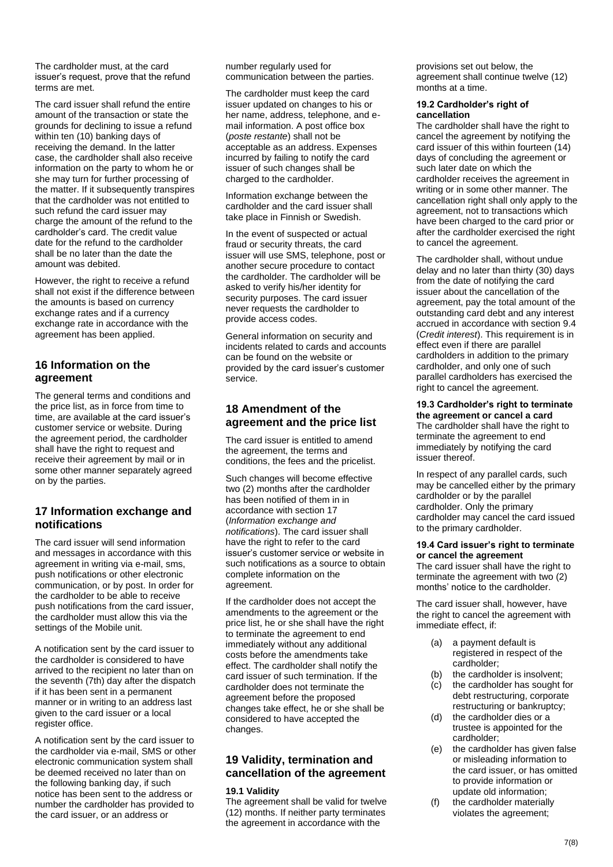The cardholder must, at the card issuer's request, prove that the refund terms are met.

The card issuer shall refund the entire amount of the transaction or state the grounds for declining to issue a refund within ten (10) banking days of receiving the demand. In the latter case, the cardholder shall also receive information on the party to whom he or she may turn for further processing of the matter. If it subsequently transpires that the cardholder was not entitled to such refund the card issuer may charge the amount of the refund to the cardholder's card. The credit value date for the refund to the cardholder shall be no later than the date the amount was debited.

However, the right to receive a refund shall not exist if the difference between the amounts is based on currency exchange rates and if a currency exchange rate in accordance with the agreement has been applied.

# **16 Information on the agreement**

The general terms and conditions and the price list, as in force from time to time, are available at the card issuer's customer service or website. During the agreement period, the cardholder shall have the right to request and receive their agreement by mail or in some other manner separately agreed on by the parties.

## **17 Information exchange and notifications**

The card issuer will send information and messages in accordance with this agreement in writing via e-mail, sms, push notifications or other electronic communication, or by post. In order for the cardholder to be able to receive push notifications from the card issuer, the cardholder must allow this via the settings of the Mobile unit.

A notification sent by the card issuer to the cardholder is considered to have arrived to the recipient no later than on the seventh (7th) day after the dispatch if it has been sent in a permanent manner or in writing to an address last given to the card issuer or a local register office.

A notification sent by the card issuer to the cardholder via e-mail, SMS or other electronic communication system shall be deemed received no later than on the following banking day, if such notice has been sent to the address or number the cardholder has provided to the card issuer, or an address or

number regularly used for communication between the parties.

The cardholder must keep the card issuer updated on changes to his or her name, address, telephone, and email information. A post office box (*poste restante*) shall not be acceptable as an address. Expenses incurred by failing to notify the card issuer of such changes shall be charged to the cardholder.

Information exchange between the cardholder and the card issuer shall take place in Finnish or Swedish.

In the event of suspected or actual fraud or security threats, the card issuer will use SMS, telephone, post or another secure procedure to contact the cardholder. The cardholder will be asked to verify his/her identity for security purposes. The card issuer never requests the cardholder to provide access codes.

General information on security and incidents related to cards and accounts can be found on the website or provided by the card issuer's customer service.

# **18 Amendment of the agreement and the price list**

The card issuer is entitled to amend the agreement, the terms and conditions, the fees and the pricelist.

Such changes will become effective two (2) months after the cardholder has been notified of them in in accordance with section 17 (*Information exchange and notifications*). The card issuer shall have the right to refer to the card issuer's customer service or website in such notifications as a source to obtain complete information on the agreement.

If the cardholder does not accept the amendments to the agreement or the price list, he or she shall have the right to terminate the agreement to end immediately without any additional costs before the amendments take effect. The cardholder shall notify the card issuer of such termination. If the cardholder does not terminate the agreement before the proposed changes take effect, he or she shall be considered to have accepted the changes.

# **19 Validity, termination and cancellation of the agreement**

## **19.1 Validity**

The agreement shall be valid for twelve (12) months. If neither party terminates the agreement in accordance with the

provisions set out below, the agreement shall continue twelve (12) months at a time.

#### **19.2 Cardholder's right of cancellation**

The cardholder shall have the right to cancel the agreement by notifying the card issuer of this within fourteen (14) days of concluding the agreement or such later date on which the cardholder receives the agreement in writing or in some other manner. The cancellation right shall only apply to the agreement, not to transactions which have been charged to the card prior or after the cardholder exercised the right to cancel the agreement.

The cardholder shall, without undue delay and no later than thirty (30) days from the date of notifying the card issuer about the cancellation of the agreement, pay the total amount of the outstanding card debt and any interest accrued in accordance with section 9.4 (*Credit interest*). This requirement is in effect even if there are parallel cardholders in addition to the primary cardholder, and only one of such parallel cardholders has exercised the right to cancel the agreement.

**19.3 Cardholder's right to terminate the agreement or cancel a card**  The cardholder shall have the right to terminate the agreement to end immediately by notifying the card issuer thereof.

In respect of any parallel cards, such may be cancelled either by the primary cardholder or by the parallel cardholder. Only the primary cardholder may cancel the card issued to the primary cardholder.

### **19.4 Card issuer's right to terminate or cancel the agreement**

The card issuer shall have the right to terminate the agreement with two (2) months' notice to the cardholder.

The card issuer shall, however, have the right to cancel the agreement with immediate effect, if:

- (a) a payment default is registered in respect of the cardholder;
- (b) the cardholder is insolvent;
- (c) the cardholder has sought for debt restructuring, corporate restructuring or bankruptcy;
- (d) the cardholder dies or a trustee is appointed for the cardholder;
- (e) the cardholder has given false or misleading information to the card issuer, or has omitted to provide information or update old information;
- (f) the cardholder materially violates the agreement;